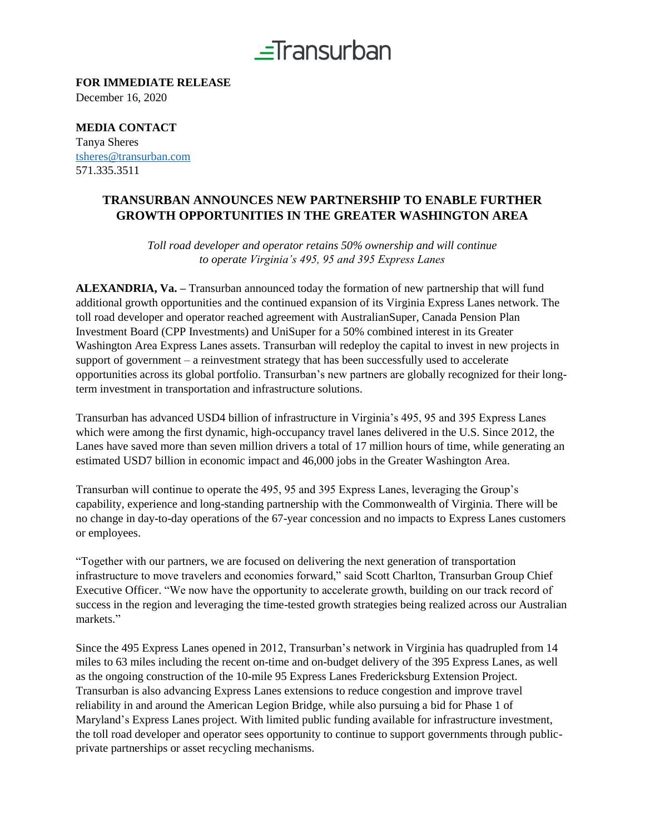

**FOR IMMEDIATE RELEASE** December 16, 2020

**MEDIA CONTACT**  Tanya Sheres [tsheres@transurban.com](mailto:tsheres@transurban.com) 571.335.3511

### **TRANSURBAN ANNOUNCES NEW PARTNERSHIP TO ENABLE FURTHER GROWTH OPPORTUNITIES IN THE GREATER WASHINGTON AREA**

*Toll road developer and operator retains 50% ownership and will continue to operate Virginia's 495, 95 and 395 Express Lanes*

**ALEXANDRIA, Va. –** Transurban announced today the formation of new partnership that will fund additional growth opportunities and the continued expansion of its Virginia Express Lanes network. The toll road developer and operator reached agreement with AustralianSuper, Canada Pension Plan Investment Board (CPP Investments) and UniSuper for a 50% combined interest in its Greater Washington Area Express Lanes assets. Transurban will redeploy the capital to invest in new projects in support of government – a reinvestment strategy that has been successfully used to accelerate opportunities across its global portfolio. Transurban's new partners are globally recognized for their longterm investment in transportation and infrastructure solutions.

Transurban has advanced USD4 billion of infrastructure in Virginia's 495, 95 and 395 Express Lanes which were among the first dynamic, high-occupancy travel lanes delivered in the U.S. Since 2012, the Lanes have saved more than seven million drivers a total of 17 million hours of time, while generating an estimated USD7 billion in economic impact and 46,000 jobs in the Greater Washington Area.

Transurban will continue to operate the 495, 95 and 395 Express Lanes, leveraging the Group's capability, experience and long-standing partnership with the Commonwealth of Virginia. There will be no change in day-to-day operations of the 67-year concession and no impacts to Express Lanes customers or employees.

"Together with our partners, we are focused on delivering the next generation of transportation infrastructure to move travelers and economies forward," said Scott Charlton, Transurban Group Chief Executive Officer. "We now have the opportunity to accelerate growth, building on our track record of success in the region and leveraging the time-tested growth strategies being realized across our Australian markets."

Since the 495 Express Lanes opened in 2012, Transurban's network in Virginia has quadrupled from 14 miles to 63 miles including the recent on-time and on-budget delivery of the 395 Express Lanes, as well as the ongoing construction of the 10-mile 95 Express Lanes Fredericksburg Extension Project. Transurban is also advancing Express Lanes extensions to reduce congestion and improve travel reliability in and around the American Legion Bridge, while also pursuing a bid for Phase 1 of Maryland's Express Lanes project. With limited public funding available for infrastructure investment, the toll road developer and operator sees opportunity to continue to support governments through publicprivate partnerships or asset recycling mechanisms.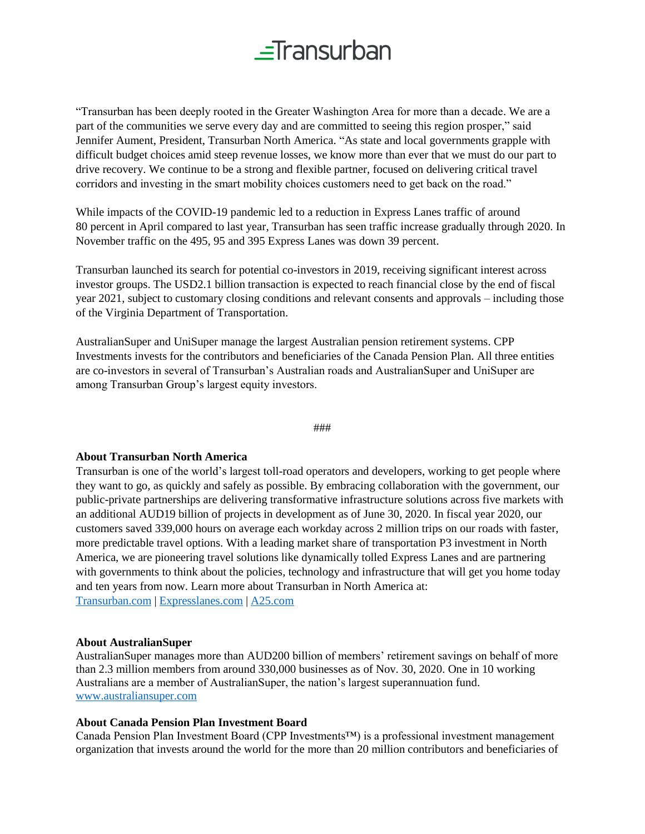## $\equiv$ Transurban

"Transurban has been deeply rooted in the Greater Washington Area for more than a decade. We are a part of the communities we serve every day and are committed to seeing this region prosper," said Jennifer Aument, President, Transurban North America. "As state and local governments grapple with difficult budget choices amid steep revenue losses, we know more than ever that we must do our part to drive recovery. We continue to be a strong and flexible partner, focused on delivering critical travel corridors and investing in the smart mobility choices customers need to get back on the road."

While impacts of the COVID-19 pandemic led to a reduction in Express Lanes traffic of around 80 percent in April compared to last year, Transurban has seen traffic increase gradually through 2020. In November traffic on the 495, 95 and 395 Express Lanes was down 39 percent.

Transurban launched its search for potential co-investors in 2019, receiving significant interest across investor groups. The USD2.1 billion transaction is expected to reach financial close by the end of fiscal year 2021, subject to customary closing conditions and relevant consents and approvals – including those of the Virginia Department of Transportation.

AustralianSuper and UniSuper manage the largest Australian pension retirement systems. CPP Investments invests for the contributors and beneficiaries of the Canada Pension Plan. All three entities are co-investors in several of Transurban's Australian roads and AustralianSuper and UniSuper are among Transurban Group's largest equity investors.

#### ###

#### **About Transurban North America**

Transurban is one of the world's largest toll-road operators and developers, working to get people where they want to go, as quickly and safely as possible. By embracing collaboration with the government, our public-private partnerships are delivering transformative infrastructure solutions across five markets with an additional AUD19 billion of projects in development as of June 30, 2020. In fiscal year 2020, our customers saved 339,000 hours on average each workday across 2 million trips on our roads with faster, more predictable travel options. With a leading market share of transportation P3 investment in North America, we are pioneering travel solutions like dynamically tolled Express Lanes and are partnering with governments to think about the policies, technology and infrastructure that will get you home today and ten years from now. Learn more about Transurban in North America at: [Transurban.com](file:///C:/Users/nsata/Desktop/APCO%20DC/Clients/Transurban/Project%20Spring%20-%20T&M/transurban.com) | [Expresslanes.com](file:///C:/Users/nsata/Desktop/APCO%20DC/Clients/Transurban/Project%20Spring%20-%20T&M/expresslanes.com) | [A25.com](https://a25.com/en/)

#### **About AustralianSuper**

AustralianSuper manages more than AUD200 billion of members' retirement savings on behalf of more than 2.3 million members from around 330,000 businesses as of Nov. 30, 2020. One in 10 working Australians are a member of AustralianSuper, the nation's largest superannuation fund. [www.australiansuper.com](http://www.australiansuper.com/)

#### **About Canada Pension Plan Investment Board**

Canada Pension Plan Investment Board (CPP Investments™) is a professional investment management organization that invests around the world for the more than 20 million contributors and beneficiaries of